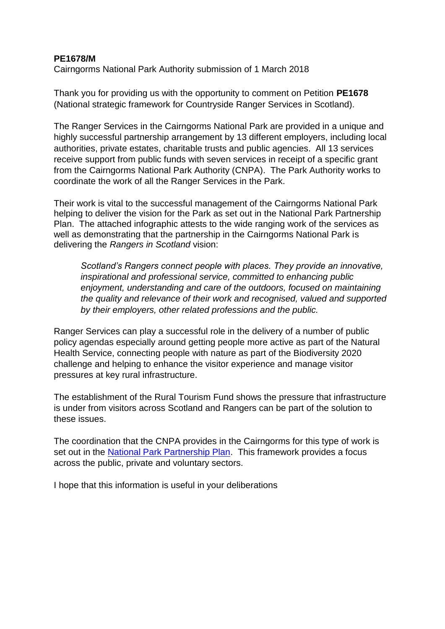## **PE1678/M**

Cairngorms National Park Authority submission of 1 March 2018

Thank you for providing us with the opportunity to comment on Petition **PE1678**  (National strategic framework for Countryside Ranger Services in Scotland).

The Ranger Services in the Cairngorms National Park are provided in a unique and highly successful partnership arrangement by 13 different employers, including local authorities, private estates, charitable trusts and public agencies. All 13 services receive support from public funds with seven services in receipt of a specific grant from the Cairngorms National Park Authority (CNPA). The Park Authority works to coordinate the work of all the Ranger Services in the Park.

Their work is vital to the successful management of the Cairngorms National Park helping to deliver the vision for the Park as set out in the National Park Partnership Plan. The attached infographic attests to the wide ranging work of the services as well as demonstrating that the partnership in the Cairngorms National Park is delivering the *Rangers in Scotland* vision:

*Scotland's Rangers connect people with places. They provide an innovative, inspirational and professional service, committed to enhancing public enjoyment, understanding and care of the outdoors, focused on maintaining the quality and relevance of their work and recognised, valued and supported by their employers, other related professions and the public.*

Ranger Services can play a successful role in the delivery of a number of public policy agendas especially around getting people more active as part of the Natural Health Service, connecting people with nature as part of the Biodiversity 2020 challenge and helping to enhance the visitor experience and manage visitor pressures at key rural infrastructure.

The establishment of the Rural Tourism Fund shows the pressure that infrastructure is under from visitors across Scotland and Rangers can be part of the solution to these issues.

The coordination that the CNPA provides in the Cairngorms for this type of work is set out in the [National Park Partnership Plan.](http://cairngorms.co.uk/wp-content/uploads/2017/07/170707CNPPP17-22FINAL_SinglePage.pdf) This framework provides a focus across the public, private and voluntary sectors.

I hope that this information is useful in your deliberations